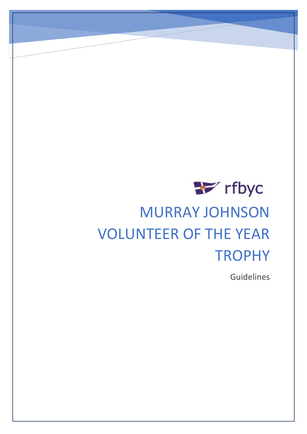

# MURRAY JOHNSON VOLUNTEER OF THE YEAR **TROPHY**

Guidelines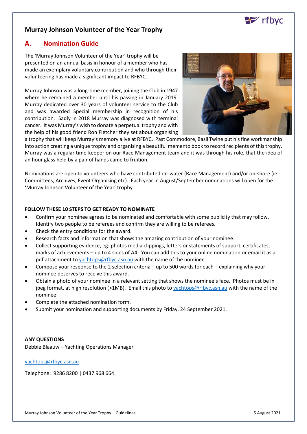

## **Murray Johnson Volunteer of the Year Trophy**

### **A. Nomination Guide**

The 'Murray Johnson Volunteer of the Year' trophy will be presented on an annual basis in honour of a member who has made an exemplary voluntary contribution and who through their volunteering has made a significant impact to RFBYC.

Murray Johnson was a long-time member, joining the Club in 1947 where he remained a member until his passing in January 2019. Murray dedicated over 30 years of volunteer service to the Club and was awarded Special membership in recognition of his contribution. Sadly in 2018 Murray was diagnosed with terminal cancer. It was Murray's wish to donate a perpetual trophy and with the help of his good friend Ron Fletcher they set about organising



a trophy that will keep Murray's memory alive at RFBYC. Past Commodore, Basil Twine put his fine workmanship into action creating a unique trophy and organising a beautiful memento book to record recipients of this trophy. Murray was a regular time-keeper on our Race Management team and it was through his role, that the idea of an hour glass held by a pair of hands came to fruition.

Nominations are open to volunteers who have contributed on-water (Race Management) and/or on-shore (ie: Committees, Archives, Event Organising etc). Each year in August/September nominations will open for the 'Murray Johnson Volunteer of the Year' trophy.

#### **FOLLOW THESE 10 STEPS TO GET READY TO NOMINATE**

- Confirm your nominee agrees to be nominated and comfortable with some publicity that may follow. Identify two people to be referees and confirm they are willing to be referees.
- Check the entry conditions for the award.
- Research facts and information that shows the amazing contribution of your nominee.
- Collect supporting evidence, eg: photos media clippings, letters or statements of support, certificates, marks of achievements – up to 4 sides of A4. You can add this to your online nomination or email it as a pdf attachment t[o yachtops@rfbyc.asn.au](mailto:yachtops@rfbyc.asn.au) with the name of the nominee.
- Compose your response to the 2 selection criteria up to 500 words for each explaining why your nominee deserves to receive this award.
- Obtain a photo of your nominee in a relevant setting that shows the nominee's face. Photos must be in jpeg format, at high resolution (>1MB). Email this photo to [yachtops@rfbyc.asn.au](mailto:yachtops@rfbyc.asn.au) with the name of the nominee.
- Complete the attached nomination form.
- Submit your nomination and supporting documents by Friday, 24 September 2021.

#### **ANY QUESTIONS**

Debbie Blaauw – Yachting Operations Manager

[yachtops@rfbyc.asn.au](mailto:yachtops@rfbyc.asn.au)

Telephone: 9286 8200 | 0437 968 664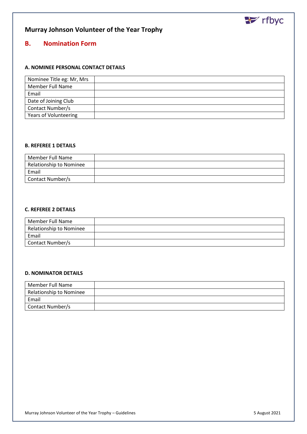

## **Murray Johnson Volunteer of the Year Trophy**

## **B. Nomination Form**

#### **A. NOMINEE PERSONAL CONTACT DETAILS**

| Nominee Title eg: Mr, Mrs |  |
|---------------------------|--|
| <b>Member Full Name</b>   |  |
| Email                     |  |
| Date of Joining Club      |  |
| Contact Number/s          |  |
| Years of Volunteering     |  |

#### **B. REFEREE 1 DETAILS**

| Member Full Name        |  |
|-------------------------|--|
| Relationship to Nominee |  |
| Email                   |  |
| Contact Number/s        |  |

#### **C. REFEREE 2 DETAILS**

| Member Full Name        |  |
|-------------------------|--|
| Relationship to Nominee |  |
| Email                   |  |
| Contact Number/s        |  |

#### **D. NOMINATOR DETAILS**

| Member Full Name               |  |
|--------------------------------|--|
| <b>Relationship to Nominee</b> |  |
| Email                          |  |
| Contact Number/s               |  |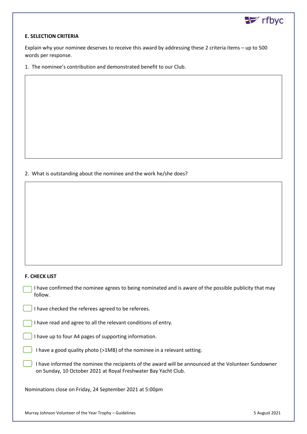

#### **E. SELECTION CRITERIA**

Explain why your nominee deserves to receive this award by addressing these 2 criteria items – up to 500 words per response.

1. The nominee's contribution and demonstrated benefit to our Club.

2. What is outstanding about the nominee and the work he/she does?

#### **F. CHECK LIST**

I have confirmed the nominee agrees to being nominated and is aware of the possible publicity that may follow.

I have checked the referees agreed to be referees.

I have read and agree to all the relevant conditions of entry.

I have up to four A4 pages of supporting information.

I have a good quality photo (>1MB) of the nominee in a relevant setting.

I have informed the nominee the recipients of the award will be announced at the Volunteer Sundowner on Sunday, 10 October 2021 at Royal Freshwater Bay Yacht Club.

Nominations close on Friday, 24 September 2021 at 5:00pm